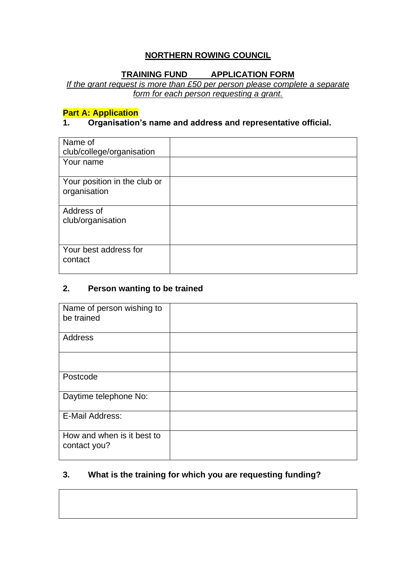# **NORTHERN ROWING COUNCIL**

# **TRAINING FUND APPLICATION FORM**

*If the grant request is more than £50 per person please complete a separate form for each person requesting a grant.*

# **Part A: Application**

#### **1. Organisation's name and address and representative official.**

| Name of<br>club/college/organisation         |  |
|----------------------------------------------|--|
| Your name                                    |  |
| Your position in the club or<br>organisation |  |
| Address of<br>club/organisation              |  |
| Your best address for<br>contact             |  |

#### **2. Person wanting to be trained**

| Name of person wishing to<br>be trained    |  |
|--------------------------------------------|--|
| Address                                    |  |
|                                            |  |
| Postcode                                   |  |
| Daytime telephone No:                      |  |
| E-Mail Address:                            |  |
| How and when is it best to<br>contact you? |  |

# **3. What is the training for which you are requesting funding?**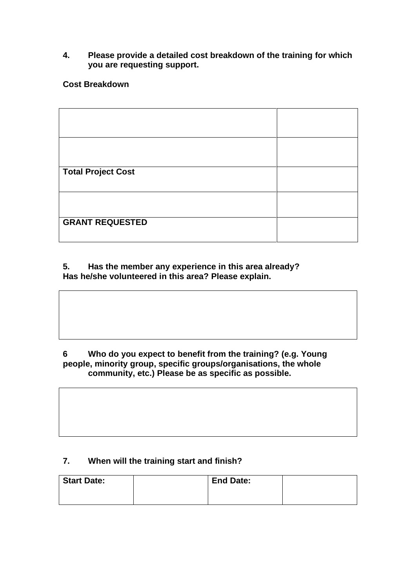#### **4. Please provide a detailed cost breakdown of the training for which you are requesting support.**

#### **Cost Breakdown**

| <b>Total Project Cost</b> |  |
|---------------------------|--|
|                           |  |
|                           |  |
|                           |  |
|                           |  |
|                           |  |
|                           |  |
|                           |  |
|                           |  |
| <b>GRANT REQUESTED</b>    |  |
|                           |  |
|                           |  |
|                           |  |
|                           |  |

#### **5. Has the member any experience in this area already? Has he/she volunteered in this area? Please explain.**

#### **6 Who do you expect to benefit from the training? (e.g. Young people, minority group, specific groups/organisations, the whole community, etc.) Please be as specific as possible.**

#### **7. When will the training start and finish?**

| <b>Start Date:</b> | <b>End Date:</b> |  |
|--------------------|------------------|--|
|                    |                  |  |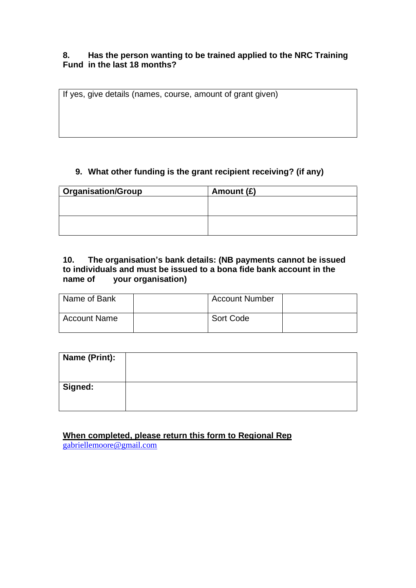#### **8. Has the person wanting to be trained applied to the NRC Training Fund in the last 18 months?**

If yes, give details (names, course, amount of grant given)

#### **9. What other funding is the grant recipient receiving? (if any)**

| <b>Organisation/Group</b><br>Amount (£) |  |  |
|-----------------------------------------|--|--|
|                                         |  |  |
|                                         |  |  |
|                                         |  |  |
|                                         |  |  |

#### **10. The organisation's bank details: (NB payments cannot be issued to individuals and must be issued to a bona fide bank account in the name of your organisation)**

| Name of Bank | <b>Account Number</b> |  |
|--------------|-----------------------|--|
| Account Name | Sort Code             |  |

| <b>Name (Print):</b> |  |
|----------------------|--|
| <b>Signed:</b>       |  |

# **When completed, please return this form to Regional Rep**

[gabriellemoore@gmail.com](mailto:gabriellemoore@gmail.com)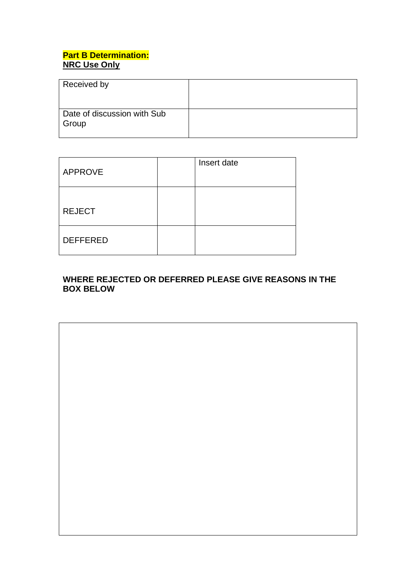# **Part B Determination: NRC Use Only**

| Received by                          |  |
|--------------------------------------|--|
| Date of discussion with Sub<br>Group |  |

| <b>APPROVE</b>  | Insert date |
|-----------------|-------------|
| <b>REJECT</b>   |             |
| <b>DEFFERED</b> |             |

## **WHERE REJECTED OR DEFERRED PLEASE GIVE REASONS IN THE BOX BELOW**